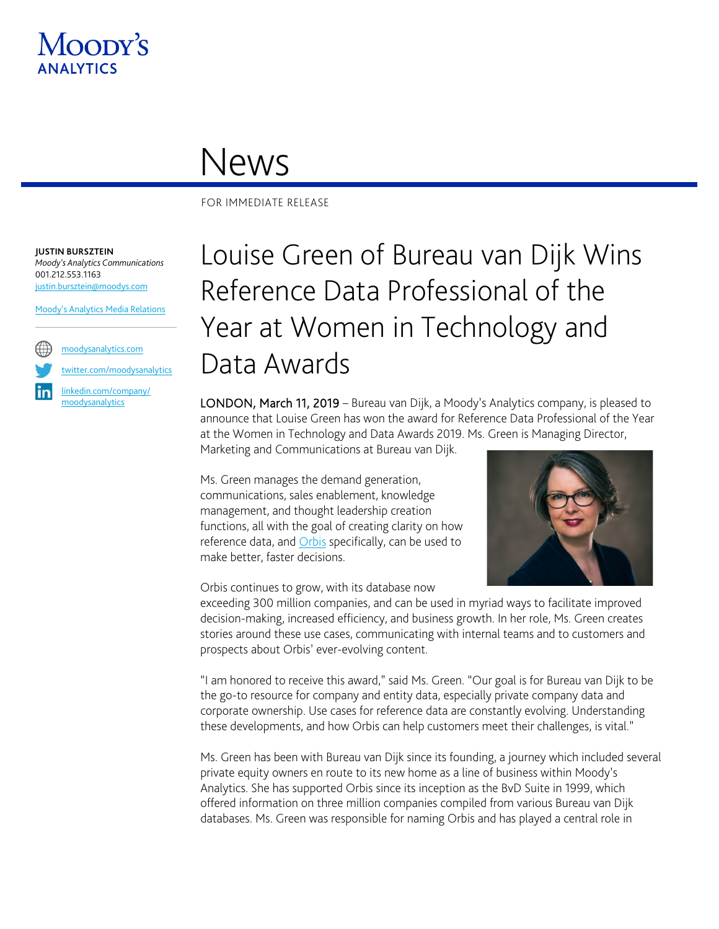

## News

FOR IMMEDIATE RELEASE

**JUSTIN BURSZTEIN** *Moody's Analytics Communications* 001.212.553.1163 [justin.bursztein@moodys.com](mailto:justin.bursztein@moodys.com)

[Moody's Analytics Media Relations](mailto:MAMediarelations@moodys.com?subject=Louise%20Green%20of%20Bureau%20van%20Dijk%20Wins%20Reference%20Data%20Professional%20of%20the%20Year%20at%20Women%20in%20Technology%20and%20Data%20Awards%20)

[moodysanalytics.com](http://www.moodysanalytics.com/)

[twitter.com/moodysanalytics](https://twitter.com/MoodysAnalytics)

[linkedin.com/company/](https://www.linkedin.com/company/moodysanalytics) [moodysanalytics](https://www.linkedin.com/company/moodysanalytics)

## Louise Green of Bureau van Dijk Wins Reference Data Professional of the Year at Women in Technology and Data Awards

LONDON, March 11, 2019 – Bureau van Dijk, a Moody's Analytics company, is pleased to announce that Louise Green has won the award for Reference Data Professional of the Year at the Women in Technology and Data Awards 2019. Ms. Green is Managing Director,

Marketing and Communications at Bureau van Dijk.

Ms. Green manages the demand generation, communications, sales enablement, knowledge management, and thought leadership creation functions, all with the goal of creating clarity on how reference data, an[d Orbis](https://www.bvdinfo.com/en-us/our-products/data/international/orbis) specifically, can be used to make better, faster decisions.

Orbis continues to grow, with its database now



exceeding 300 million companies, and can be used in myriad ways to facilitate improved decision-making, increased efficiency, and business growth. In her role, Ms. Green creates stories around these use cases, communicating with internal teams and to customers and prospects about Orbis' ever-evolving content.

"I am honored to receive this award," said Ms. Green. "Our goal is for Bureau van Dijk to be the go-to resource for company and entity data, especially private company data and corporate ownership. Use cases for reference data are constantly evolving. Understanding these developments, and how Orbis can help customers meet their challenges, is vital."

Ms. Green has been with Bureau van Dijk since its founding, a journey which included several private equity owners en route to its new home as a line of business within Moody's Analytics. She has supported Orbis since its inception as the BvD Suite in 1999, which offered information on three million companies compiled from various Bureau van Dijk databases. Ms. Green was responsible for naming Orbis and has played a central role in